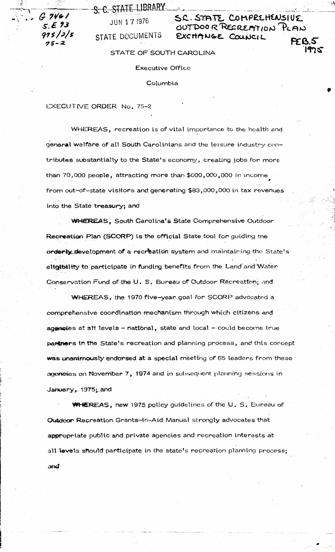S. C. STATE LIBRARY

 $G.7461$  $5.593$  $975/5/5$ 

**JUN 17 1976** STATE DOCUMENTS SC. STATE COMPREHENSIUE OUTDOOR RECREATION PLAN EXCHANGE COUNCIL **FEB.5** 

1975

STATE OF SOUTH CAROLINA

**Executive Office** 

Columbia

EXECUTIVE ORDER No. 75-2

WHEREAS, recreation is of vital importance to the health and general welfare of all South Carolinians and the leisure industry contributes substantially to the State's economy, creating jobs for more than 70,000 people, attracting more than \$600,000,000 in income from out-of-state visitors and generating \$83,000,000 in tax revenues into the State treasury; and

**WHEREAS, South Carolina's State Comprehensive Outdoor** Recreation Plan (SCORP) is the official State tool for guiding the orderly development of a recreation system and maintaining the State's eligibility to participate in funding benefits from the Land and Water Conservation Fund of the U. S. Bureau of Outdoor Recreation; and

WHEREAS, the 1970 five-year goal for SCORP advocated a comprehensive coordination mechanism through which citizens and agencies at all levels - national, state and local - could become true partners in the State's recreation and planning process, and this concept was unanimously endorsed at a special meeting of 65 leaders from these agencies on November 7, 1974 and in subsequent planning sessions in January, 1975; and

WHEREAS, new 1975 policy guidelines of the U.S. Bureau of Outdoor Recreation Grants-in-Aid Manual strongly advocates that appropriate public and private agencies and recreation interests at all levels should participate in the state's recreation planning process; and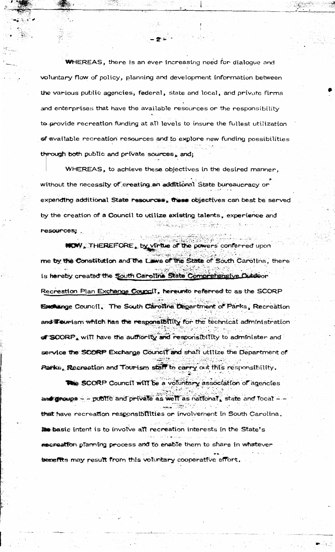**WHEREAS**, there is an ever increasing need for dialogue and voluntary flow of policy, planning and development information between the various public agencies, federal, state and local, and private firms and enterprises that have the available resources or the responsibility to provide recreation funding at all levels to insure the fullest utilization of available recreation resources and to explore new funding possibilities through both public and private sources, and;

WHEREAS, to achieve these objectives in the desired manner, without the necessity of creating an additional State bureaucracy or expending additional State resources, these objectives can best be served by the creation of a Council to utilize existing talents, experience and i kata militar menjadi kalendar dan bawah kalendar dan kelah.<br>Kata keraka pada kala pada menjadi kata masa yang pertama dan terdapat dan kerakatan dan tahun 1980.<br>Kata terdapat kata pada tahun 1990 dan tahun 1990 dan tahun resources;

NEW, THEREFORE, by virtue of the powers conferred upon me by the Constitution and the Laws of the State of South Carolina, there is hereby created the South Carolina State Comprehensive Dutdoor Recreation Plan Exchange Council, hereunto referred to as the SCORP Excluinge Council. The South Carolina Department of Parks, Recreation and Tourism which has the responsibility for the technical administration of SCORP, will have the authority and responsibility to administer and service the SCORP Exchange Council and shall utilize the Department of Parks, Recreation and Tourism staff to carry out this responsibility.

The SCORP Council will be a voluntary association of agencies and groups - - public and private as well as national, state and local - -that have recreation responsibilities or involvement in South Carolina. the basic intent is to involve all recreation interests in the State's recreation planning process and to enable them to share in whatever benefits may result from this voluntary cooperative effort.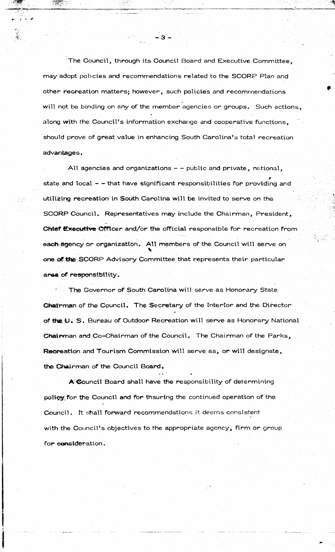The Council, through its Council Board and Executive Committee, may adopt policies and recommendations related to the SCORP Plan and other recreation matters; however, such policies and recommendations will not be binding on any of the member agencies or groups. Such actions, along with the Council's information exchange and cooperative functions, should prove of great value in enhancing South Carolina's total recreation advantages.

All agencies and organizations - - public and private, national, state and local - - that have significant responsibilities for providing and utilizing recreation in South Carolina will be invited to serve on the SCORP Council. Representatives may include the Chairman, President, Chief Executive Officer and/or the official responsible for recreation from each agency or organization. All members of the Council will serve on one of the SCORP Advisory Committee that represents their particular area of responsibility.

The Governor of South Carolina will serve as Honorary State Chairman of the Council. The Secretary of the Interior and the Director of the U. S. Bureau of Outdoor Recreation will serve as Honorary National Chairman and Co-Chairman of the Council. The Chairman of the Parks, Recreation and Tourism Commission will serve as, or will designate, the Chairman of the Council Board.

A Council Board shall have the responsibility of determining policy for the Council and for insuring the continued operation of the Council. It shall forward recommendations it deems consistent with the Council's objectives to the appropriate agency, firm or group for consideration.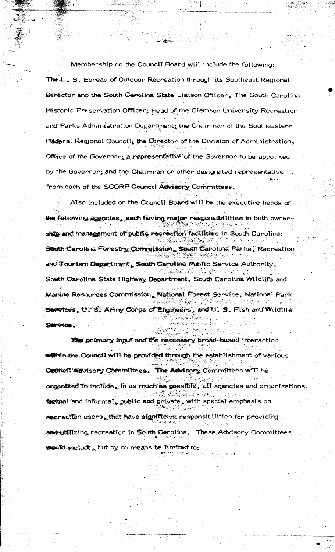Membership on the Council Board will include the following: The U. S. Bureau of Outdoor Recreation through its Southeast Regional Director and the South Carolina State Liaison Officer, The South Carolina Historic Preservation Officer; Head of the Clemson University Recreation and Parks Administration Department, the Chairman of the Southeastern Federal Regional Council, the Director of the Division of Administration, Office of the Governor; a representative of the Governor to be appointed by the Governor; and the Chairman or other designated representative from each of the SCORP Council Advisory Committees.

 $\mathbb{Z}_2$ 

adiki Su

Also included on the Council Board will be the executive heads of the following agencies, each having major responsibilities in both ownership and management of public recreation facilities in South Carolina. South Carolina Forestry Commission, South Carolina Parks, Recreation and Tourism Department, South Carolina Public Service Authority, South Carolina State Highway Department, South Carolina Wildlife and Manine Resources Commission, National Forest Service, National Park in kalendari ke kalendari dan menjadi dan<br>Persekalan dan persekalan dan menjadi d Services, U. S. Army Corps of Engineers, and U. S. Fish and Wildlife atteried a partition Service.

The primary input and the necessary broad-based interaction  $\sim 100$ within the Council will be provided through the establishment of various Council Advisory Committees. The Advisory Committees will be ARTHUR NATURAL onganized to include, in as much as possible, all agencies and organizations,  $\bullet$  mat and informal, public and private, with special emphasis on  $\bullet$  creation users. that have significant responsibilities for providing . and utilizing recreation in South Carolina. These Advisory Committees would include, but by no means be limited to: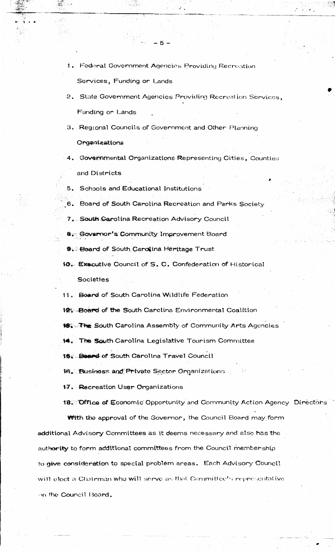- 1. Federal Government Agencies Providing Recreation Services, Funding or Lands
- 2. State Government Agencies Providing Recreation Services, Funding or Lands
- 3. Regional Councils of Government and Other Planning Organizations
- 4. Governmental Organizations Representing Cities, Counties and Districts
- 5. Schools and Educational Institutions
- 6. Board of South Carolina Recreation and Parks Society
- 7. South Carolina Recreation Advisory Council
- 8. Governor's Community Improvement Board
- 9. Board of South Carolina Heritage Trust
- 10. Executive Council of S. C. Confederation of Historical Societies
- 11. Board of South Carolina Wildlife Federation
- 12 Board of the South Carolina Environmental Coalition
- 够, The South Carolina Assembly of Community Arts Agencies
- 14. The South Carolina Legislative Tourism Committee

15 Board of South Carolina Travel Council

18. Eusiness and Private Sector Organizations

17. Recreation User Organizations

18. Office of Economic Opportunity and Community Action Agency Directors

**With the approval of the Governor, the Council Board may form** additional Advisory Committees as it deems necessary and also has the authority to form additional committees from the Council membership to give consideration to special problem areas. Each Advisory Council will elect a Chairman who will serve as that Committee's representative on the Council Board.